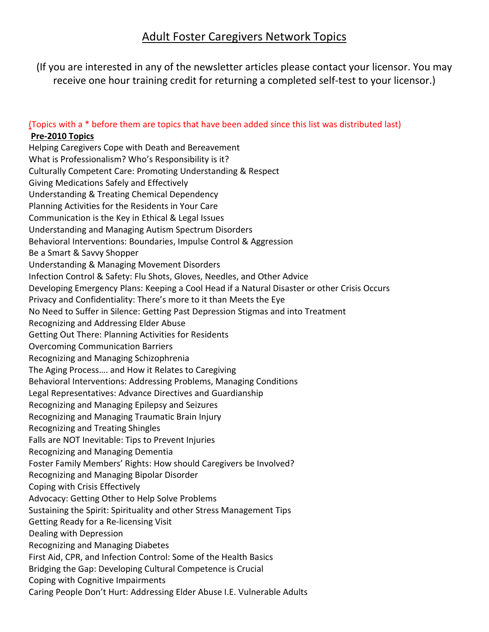# Adult Foster Caregivers Network Topics

(If you are interested in any of the newsletter articles please contact your licensor. You may receive one hour training credit for returning a completed self-test to your licensor.)

# (Topics with a \* before them are topics that have been added since this list was distributed last)

### **Pre-2010 Topics**

Helping Caregivers Cope with Death and Bereavement What is Professionalism? Who's Responsibility is it? Culturally Competent Care: Promoting Understanding & Respect Giving Medications Safely and Effectively Understanding & Treating Chemical Dependency Planning Activities for the Residents in Your Care Communication is the Key in Ethical & Legal Issues Understanding and Managing Autism Spectrum Disorders Behavioral Interventions: Boundaries, Impulse Control & Aggression Be a Smart & Savvy Shopper Understanding & Managing Movement Disorders Infection Control & Safety: Flu Shots, Gloves, Needles, and Other Advice Developing Emergency Plans: Keeping a Cool Head if a Natural Disaster or other Crisis Occurs Privacy and Confidentiality: There's more to it than Meets the Eye No Need to Suffer in Silence: Getting Past Depression Stigmas and into Treatment Recognizing and Addressing Elder Abuse Getting Out There: Planning Activities for Residents Overcoming Communication Barriers Recognizing and Managing Schizophrenia The Aging Process…. and How it Relates to Caregiving Behavioral Interventions: Addressing Problems, Managing Conditions Legal Representatives: Advance Directives and Guardianship Recognizing and Managing Epilepsy and Seizures Recognizing and Managing Traumatic Brain Injury Recognizing and Treating Shingles Falls are NOT Inevitable: Tips to Prevent Injuries Recognizing and Managing Dementia Foster Family Members' Rights: How should Caregivers be Involved? Recognizing and Managing Bipolar Disorder Coping with Crisis Effectively Advocacy: Getting Other to Help Solve Problems Sustaining the Spirit: Spirituality and other Stress Management Tips Getting Ready for a Re-licensing Visit Dealing with Depression Recognizing and Managing Diabetes First Aid, CPR, and Infection Control: Some of the Health Basics Bridging the Gap: Developing Cultural Competence is Crucial Coping with Cognitive Impairments Caring People Don't Hurt: Addressing Elder Abuse I.E. Vulnerable Adults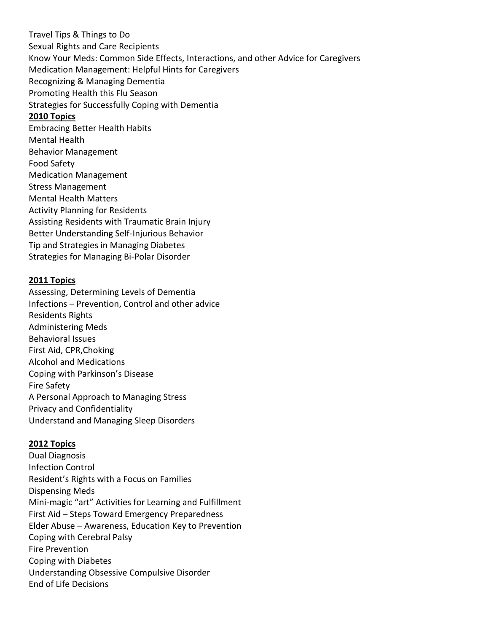Travel Tips & Things to Do Sexual Rights and Care Recipients Know Your Meds: Common Side Effects, Interactions, and other Advice for Caregivers Medication Management: Helpful Hints for Caregivers Recognizing & Managing Dementia Promoting Health this Flu Season Strategies for Successfully Coping with Dementia **2010 Topics** Embracing Better Health Habits Mental Health Behavior Management Food Safety Medication Management Stress Management Mental Health Matters Activity Planning for Residents Assisting Residents with Traumatic Brain Injury Better Understanding Self-Injurious Behavior Tip and Strategies in Managing Diabetes Strategies for Managing Bi-Polar Disorder

#### **2011 Topics**

Assessing, Determining Levels of Dementia Infections – Prevention, Control and other advice Residents Rights Administering Meds Behavioral Issues First Aid, CPR,Choking Alcohol and Medications Coping with Parkinson's Disease Fire Safety A Personal Approach to Managing Stress Privacy and Confidentiality Understand and Managing Sleep Disorders

#### **2012 Topics**

Dual Diagnosis Infection Control Resident's Rights with a Focus on Families Dispensing Meds Mini-magic "art" Activities for Learning and Fulfillment First Aid – Steps Toward Emergency Preparedness Elder Abuse – Awareness, Education Key to Prevention Coping with Cerebral Palsy Fire Prevention Coping with Diabetes Understanding Obsessive Compulsive Disorder End of Life Decisions